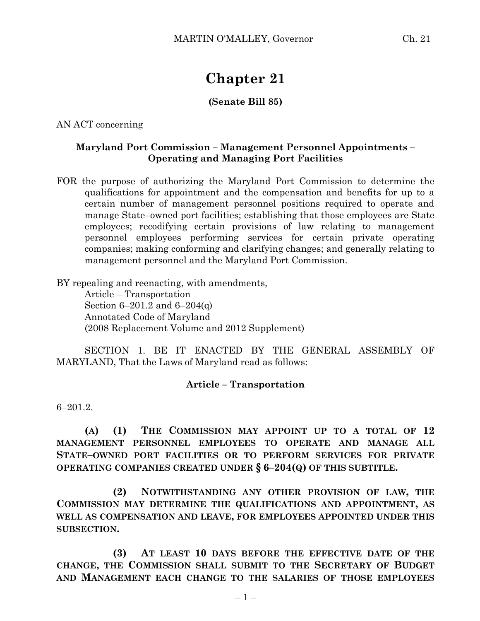# **Chapter 21**

# **(Senate Bill 85)**

AN ACT concerning

### **Maryland Port Commission – Management Personnel Appointments – Operating and Managing Port Facilities**

FOR the purpose of authorizing the Maryland Port Commission to determine the qualifications for appointment and the compensation and benefits for up to a certain number of management personnel positions required to operate and manage State–owned port facilities; establishing that those employees are State employees; recodifying certain provisions of law relating to management personnel employees performing services for certain private operating companies; making conforming and clarifying changes; and generally relating to management personnel and the Maryland Port Commission.

BY repealing and reenacting, with amendments,

Article – Transportation Section 6–201.2 and 6–204(q) Annotated Code of Maryland (2008 Replacement Volume and 2012 Supplement)

SECTION 1. BE IT ENACTED BY THE GENERAL ASSEMBLY OF MARYLAND, That the Laws of Maryland read as follows:

## **Article – Transportation**

6–201.2.

**(A) (1) THE COMMISSION MAY APPOINT UP TO A TOTAL OF 12 MANAGEMENT PERSONNEL EMPLOYEES TO OPERATE AND MANAGE ALL STATE–OWNED PORT FACILITIES OR TO PERFORM SERVICES FOR PRIVATE OPERATING COMPANIES CREATED UNDER § 6–204(Q) OF THIS SUBTITLE.**

**(2) NOTWITHSTANDING ANY OTHER PROVISION OF LAW, THE COMMISSION MAY DETERMINE THE QUALIFICATIONS AND APPOINTMENT, AS WELL AS COMPENSATION AND LEAVE, FOR EMPLOYEES APPOINTED UNDER THIS SUBSECTION.**

**(3) AT LEAST 10 DAYS BEFORE THE EFFECTIVE DATE OF THE CHANGE, THE COMMISSION SHALL SUBMIT TO THE SECRETARY OF BUDGET AND MANAGEMENT EACH CHANGE TO THE SALARIES OF THOSE EMPLOYEES**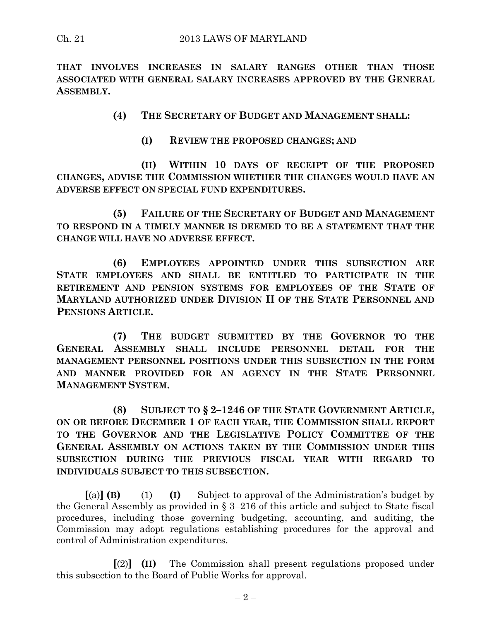**THAT INVOLVES INCREASES IN SALARY RANGES OTHER THAN THOSE ASSOCIATED WITH GENERAL SALARY INCREASES APPROVED BY THE GENERAL ASSEMBLY.**

**(4) THE SECRETARY OF BUDGET AND MANAGEMENT SHALL:**

**(I) REVIEW THE PROPOSED CHANGES; AND**

**(II) WITHIN 10 DAYS OF RECEIPT OF THE PROPOSED CHANGES, ADVISE THE COMMISSION WHETHER THE CHANGES WOULD HAVE AN ADVERSE EFFECT ON SPECIAL FUND EXPENDITURES.**

**(5) FAILURE OF THE SECRETARY OF BUDGET AND MANAGEMENT TO RESPOND IN A TIMELY MANNER IS DEEMED TO BE A STATEMENT THAT THE CHANGE WILL HAVE NO ADVERSE EFFECT.**

**(6) EMPLOYEES APPOINTED UNDER THIS SUBSECTION ARE STATE EMPLOYEES AND SHALL BE ENTITLED TO PARTICIPATE IN THE RETIREMENT AND PENSION SYSTEMS FOR EMPLOYEES OF THE STATE OF MARYLAND AUTHORIZED UNDER DIVISION II OF THE STATE PERSONNEL AND PENSIONS ARTICLE.**

**(7) THE BUDGET SUBMITTED BY THE GOVERNOR TO THE GENERAL ASSEMBLY SHALL INCLUDE PERSONNEL DETAIL FOR THE MANAGEMENT PERSONNEL POSITIONS UNDER THIS SUBSECTION IN THE FORM AND MANNER PROVIDED FOR AN AGENCY IN THE STATE PERSONNEL MANAGEMENT SYSTEM.**

**(8) SUBJECT TO § 2–1246 OF THE STATE GOVERNMENT ARTICLE, ON OR BEFORE DECEMBER 1 OF EACH YEAR, THE COMMISSION SHALL REPORT TO THE GOVERNOR AND THE LEGISLATIVE POLICY COMMITTEE OF THE GENERAL ASSEMBLY ON ACTIONS TAKEN BY THE COMMISSION UNDER THIS SUBSECTION DURING THE PREVIOUS FISCAL YEAR WITH REGARD TO INDIVIDUALS SUBJECT TO THIS SUBSECTION.**

**[**(a)**] (B)** (1) **(I)** Subject to approval of the Administration's budget by the General Assembly as provided in § 3–216 of this article and subject to State fiscal procedures, including those governing budgeting, accounting, and auditing, the Commission may adopt regulations establishing procedures for the approval and control of Administration expenditures.

**[**(2)**] (II)** The Commission shall present regulations proposed under this subsection to the Board of Public Works for approval.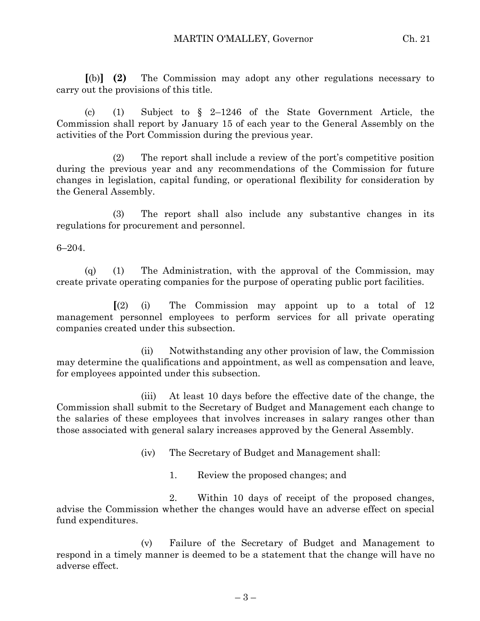**[**(b)**] (2)** The Commission may adopt any other regulations necessary to carry out the provisions of this title.

(c) (1) Subject to § 2–1246 of the State Government Article, the Commission shall report by January 15 of each year to the General Assembly on the activities of the Port Commission during the previous year.

(2) The report shall include a review of the port's competitive position during the previous year and any recommendations of the Commission for future changes in legislation, capital funding, or operational flexibility for consideration by the General Assembly.

(3) The report shall also include any substantive changes in its regulations for procurement and personnel.

6–204.

(q) (1) The Administration, with the approval of the Commission, may create private operating companies for the purpose of operating public port facilities.

**[**(2) (i) The Commission may appoint up to a total of 12 management personnel employees to perform services for all private operating companies created under this subsection.

(ii) Notwithstanding any other provision of law, the Commission may determine the qualifications and appointment, as well as compensation and leave, for employees appointed under this subsection.

(iii) At least 10 days before the effective date of the change, the Commission shall submit to the Secretary of Budget and Management each change to the salaries of these employees that involves increases in salary ranges other than those associated with general salary increases approved by the General Assembly.

(iv) The Secretary of Budget and Management shall:

1. Review the proposed changes; and

2. Within 10 days of receipt of the proposed changes, advise the Commission whether the changes would have an adverse effect on special fund expenditures.

(v) Failure of the Secretary of Budget and Management to respond in a timely manner is deemed to be a statement that the change will have no adverse effect.